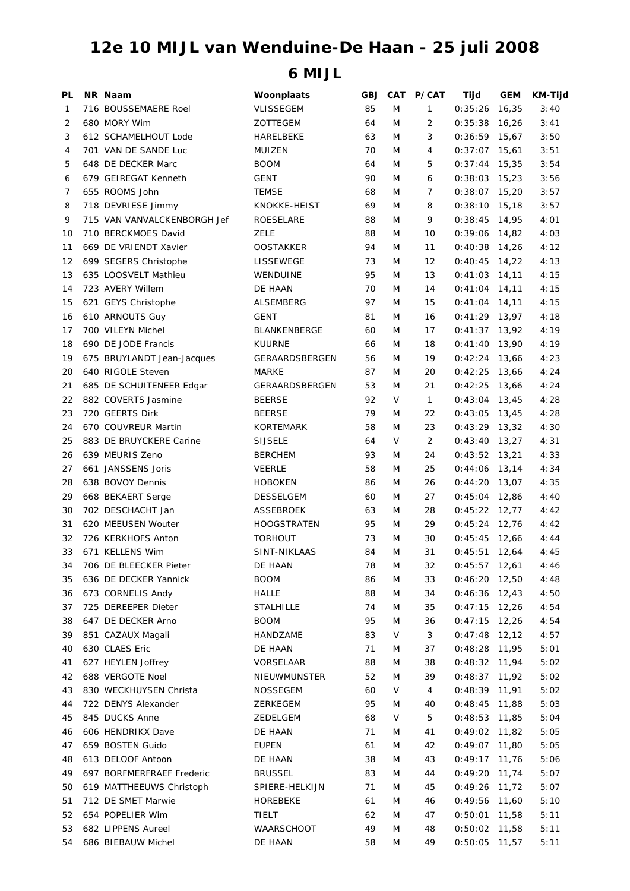## **12e 10 MIJL van Wenduine-De Haan - 25 juli 2008**

## **6 MIJL**

| PL | NR Naam                                | Woonplaats                         | GBJ. |           | CAT P/CAT | Tijd            | <b>GEM</b> | <b>KM-Tijd</b> |
|----|----------------------------------------|------------------------------------|------|-----------|-----------|-----------------|------------|----------------|
| 1  | 716 BOUSSEMAERE Roel                   | <b>VLISSEGEM</b>                   | 85   | M         | 1         | 0:35:26         | 16,35      | 3:40           |
| 2  | 680 MORY Wim                           | ZOTTEGEM                           | 64   | M         | 2         | 0:35:38         | 16,26      | 3:41           |
| 3  | 612 SCHAMELHOUT Lode                   | HARELBEKE                          | 63   | M         | 3         | 0:36:59         | 15,67      | 3:50           |
| 4  | 701 VAN DE SANDE Luc                   | MUIZEN                             | 70   | M         | 4         | $0:37:07$ 15,61 |            | 3:51           |
| 5  | 648 DE DECKER Marc                     | <b>BOOM</b>                        | 64   | M         | 5         | 0:37:44         | 15,35      | 3:54           |
| 6  | 679 GEIREGAT Kenneth                   | <b>GENT</b>                        | 90   | M         | 6         | 0:38:03         | 15,23      | 3:56           |
| 7  | 655 ROOMS John                         | <b>TEMSE</b>                       | 68   | M         | 7         | 0:38:07         | 15,20      | 3:57           |
| 8  | 718 DEVRIESE Jimmy                     | KNOKKE-HEIST                       | 69   | M         | 8         | 0:38:10         | 15,18      | 3:57           |
| 9  | 715 VAN VANVALCKENBORGH Jef            | ROESELARE                          | 88   | M         | 9         | 0:38:45         | 14,95      | 4:01           |
| 10 | 710 BERCKMOES David                    | ZELE                               | 88   | M         | 10        | 0:39:06         | 14,82      | 4:03           |
| 11 | 669 DE VRIENDT Xavier                  | <b>OOSTAKKER</b>                   | 94   | M         | 11        | 0:40:38         | 14,26      | 4:12           |
| 12 | 699 SEGERS Christophe                  | LISSEWEGE                          | 73   | M         | 12        | 0:40:45         | 14,22      | 4:13           |
| 13 | 635 LOOSVELT Mathieu                   | WENDUINE                           | 95   | M         | 13        | 0:41:03         | 14,11      | 4:15           |
| 14 | 723 AVERY Willem                       | DE HAAN                            | 70   | M         | 14        | $0:41:04$ 14,11 |            | 4:15           |
| 15 | 621 GEYS Christophe                    | ALSEMBERG                          | 97   | M         | 15        | $0:41:04$ 14,11 |            | 4:15           |
| 16 | 610 ARNOUTS Guy                        | <b>GENT</b>                        | 81   | M         | 16        | $0:41:29$ 13,97 |            | 4:18           |
| 17 | 700 VILEYN Michel                      | <b>BLANKENBERGE</b>                | 60   | M         | 17        | $0:41:37$ 13,92 |            | 4:19           |
| 18 | 690 DE JODE Francis                    | <b>KUURNE</b>                      | 66   | M         | 18        | 0:41:40         | 13,90      | 4:19           |
| 19 | 675 BRUYLANDT Jean-Jacques             | GERAARDSBERGEN                     | 56   | M         | 19        | 0:42:24         | 13,66      | 4:23           |
| 20 | 640 RIGOLE Steven                      | <b>MARKE</b>                       | 87   | M         | 20        | 0:42:25         | 13,66      | 4:24           |
| 21 | 685 DE SCHUITENEER Edgar               | GERAARDSBERGEN                     | 53   | M         | 21        | 0:42:25         | 13,66      | 4:24           |
| 22 | 882 COVERTS Jasmine                    | <b>BEERSE</b>                      | 92   | V         | 1         | 0:43:04         | 13,45      | 4:28           |
| 23 | 720 GEERTS Dirk                        | <b>BEERSE</b>                      | 79   | M         | 22        | 0:43:05         | 13,45      | 4:28           |
| 24 | 670 COUVREUR Martin                    | <b>KORTEMARK</b>                   | 58   | M         | 23        | 0:43:29         | 13,32      | 4:30           |
| 25 | 883 DE BRUYCKERE Carine                | <b>SIJSELE</b>                     | 64   | V         | 2         | 0:43:40         | 13,27      | 4:31           |
| 26 | 639 MEURIS Zeno                        | <b>BERCHEM</b>                     | 93   | M         | 24        | 0:43:52         | 13,21      | 4:33           |
| 27 | 661 JANSSENS Joris                     | <b>VEERLE</b>                      | 58   | M         | 25        | 0:44:06         | 13,14      | 4:34           |
| 28 | 638 BOVOY Dennis                       |                                    | 86   | M         | 26        | $0:44:20$ 13,07 |            | 4:35           |
| 29 |                                        | <b>HOBOKEN</b><br><b>DESSELGEM</b> | 60   | M         | 27        | 0:45:04         | 12,86      | 4:40           |
|    | 668 BEKAERT Serge<br>702 DESCHACHT Jan | <b>ASSEBROEK</b>                   | 63   | M         |           | $0:45:22$ 12,77 |            |                |
| 30 |                                        |                                    |      |           | 28        |                 |            | 4:42           |
| 31 | 620 MEEUSEN Wouter                     | <b>HOOGSTRATEN</b>                 | 95   | M         | 29        | 0:45:24         | 12,76      | 4:42           |
| 32 | 726 KERKHOFS Anton                     | <b>TORHOUT</b>                     | 73   | M         | 30        | 0:45:45         | 12,66      | 4:44           |
| 33 | 671 KELLENS Wim                        | SINT-NIKLAAS                       | 84   | M         | 31        | $0:45:51$ 12,64 |            | 4:45           |
| 34 | 706 DE BLEECKER Pieter                 | DE HAAN                            | 78   | ${\sf M}$ | 32        | $0:45:57$ 12,61 |            | 4:46           |
| 35 | 636 DE DECKER Yannick                  | <b>BOOM</b>                        | 86   | M         | 33        | $0:46:20$ 12,50 |            | 4:48           |
| 36 | 673 CORNELIS Andy                      | HALLE                              | 88   | M         | 34        | $0:46:36$ 12,43 |            | 4:50           |
| 37 | 725 DEREEPER Dieter                    | STALHILLE                          | 74   | M         | 35        | 0:47:15         | 12,26      | 4:54           |
| 38 | 647 DE DECKER Arno                     | <b>BOOM</b>                        | 95   | M         | 36        | 0:47:15         | 12,26      | 4:54           |
| 39 | 851 CAZAUX Magali                      | HANDZAME                           | 83   | V         | 3         | 0:47:48         | 12,12      | 4:57           |
| 40 | 630 CLAES Eric                         | DE HAAN                            | 71   | M         | 37        | 0:48:28         | 11,95      | 5:01           |
| 41 | 627 HEYLEN Joffrey                     | VORSELAAR                          | 88   | M         | 38        | $0:48:32$ 11,94 |            | 5:02           |
| 42 | 688 VERGOTE Noel                       | NIEUWMUNSTER                       | 52   | M         | 39        | $0:48:37$ 11,92 |            | 5:02           |
| 43 | 830 WECKHUYSEN Christa                 | <b>NOSSEGEM</b>                    | 60   | V         | 4         | $0:48:39$ 11,91 |            | 5:02           |
| 44 | 722 DENYS Alexander                    | ZERKEGEM                           | 95   | M         | 40        | 0:48:45         | 11,88      | 5:03           |
| 45 | 845 DUCKS Anne                         | ZEDELGEM                           | 68   | V         | 5         | 0:48:53         | 11,85      | 5:04           |
| 46 | 606 HENDRIKX Dave                      | DE HAAN                            | 71   | M         | 41        | 0:49:02         | 11,82      | 5:05           |
| 47 | 659 BOSTEN Guido                       | <b>EUPEN</b>                       | 61   | M         | 42        | 0:49:07         | 11,80      | 5:05           |
| 48 | 613 DELOOF Antoon                      | DE HAAN                            | 38   | M         | 43        | 0:49:17         | 11,76      | 5:06           |
| 49 | 697 BORFMERFRAEF Frederic              | <b>BRUSSEL</b>                     | 83   | M         | 44        | 0:49:20         | 11,74      | 5:07           |
| 50 | 619 MATTHEEUWS Christoph               | SPIERE-HELKIJN                     | 71   | M         | 45        | 0:49:26         | 11,72      | 5:07           |
| 51 | 712 DE SMET Marwie                     | HOREBEKE                           | 61   | M         | 46        | 0:49:56         | 11,60      | 5:10           |
| 52 | 654 POPELIER Wim                       | TIELT                              | 62   | M         | 47        | 0:50:01         | 11,58      | 5:11           |
| 53 | 682 LIPPENS Aureel                     | WAARSCHOOT                         | 49   | M         | 48        | $0:50:02$ 11,58 |            | 5:11           |
| 54 | 686 BIEBAUW Michel                     | DE HAAN                            | 58   | M         | 49        | $0:50:05$ 11,57 |            | 5:11           |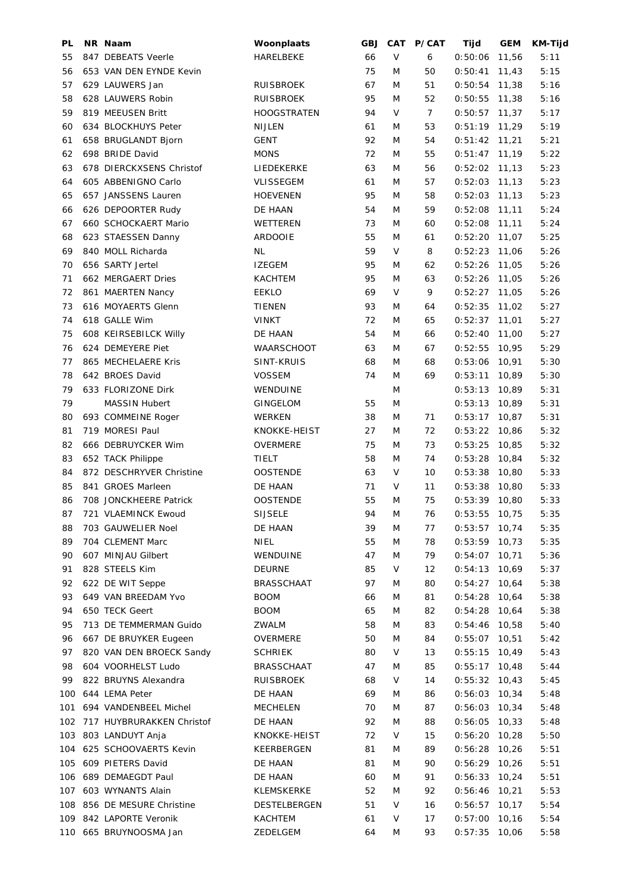| PL  | NR Naam                   | Woonplaats         | GBJ | <b>CAT</b> | P/CAT | Tijd            | <b>GEM</b> | <b>KM-Tijd</b> |
|-----|---------------------------|--------------------|-----|------------|-------|-----------------|------------|----------------|
| 55  | 847 DEBEATS Veerle        | HARELBEKE          | 66  | V          | 6     | 0:50:06         | 11,56      | 5:11           |
| 56  | 653 VAN DEN EYNDE Kevin   |                    | 75  | M          | 50    | 0:50:41         | 11,43      | 5:15           |
| 57  | 629 LAUWERS Jan           | <b>RUISBROEK</b>   | 67  | M          | 51    | $0:50:54$ 11,38 |            | 5:16           |
| 58  | 628 LAUWERS Robin         | <b>RUISBROEK</b>   | 95  | M          | 52    | 0:50:55         | 11,38      | 5:16           |
| 59  | 819 MEEUSEN Britt         | <b>HOOGSTRATEN</b> | 94  | V          | 7     | 0:50:57         | 11,37      | 5:17           |
| 60  | 634 BLOCKHUYS Peter       | NIJLEN             | 61  | M          | 53    | 0:51:19         | 11,29      | 5:19           |
| 61  | 658 BRUGLANDT Bjorn       | <b>GENT</b>        | 92  | M          | 54    | 0:51:42         | 11,21      | 5:21           |
| 62  | 698 BRIDE David           | <b>MONS</b>        | 72  | M          | 55    | $0:51:47$ 11,19 |            | 5:22           |
| 63  | 678 DIERCKXSENS Christof  | LIEDEKERKE         | 63  | M          | 56    | $0:52:02$ 11,13 |            | 5:23           |
| 64  | 605 ABBENIGNO Carlo       | <b>VLISSEGEM</b>   | 61  | M          | 57    | 0:52:03         | 11,13      | 5:23           |
| 65  | 657 JANSSENS Lauren       | <b>HOEVENEN</b>    | 95  | M          | 58    | 0:52:03         | 11,13      | 5:23           |
| 66  | 626 DEPOORTER Rudy        | DE HAAN            | 54  | M          | 59    | 0:52:08         | 11,11      | 5:24           |
| 67  | 660 SCHOCKAERT Mario      | WETTEREN           | 73  | M          | 60    | 0:52:08         | 11,11      | 5:24           |
| 68  | 623 STAESSEN Danny        | <b>ARDOOIE</b>     | 55  | M          | 61    | 0:52:20         | 11,07      | 5:25           |
| 69  | 840 MOLL Richarda         | <b>NL</b>          | 59  | V          | 8     | 0:52:23         | 11,06      | 5:26           |
| 70  | 656 SARTY Jertel          | <b>IZEGEM</b>      | 95  | M          | 62    | 0:52:26         | 11,05      | 5:26           |
| 71  | 662 MERGAERT Dries        | <b>KACHTEM</b>     | 95  | M          | 63    | 0:52:26         | 11,05      | 5:26           |
| 72  | 861 MAERTEN Nancy         | <b>EEKLO</b>       | 69  | V          | 9     | 0:52:27         | 11,05      | 5:26           |
| 73  | 616 MOYAERTS Glenn        | <b>TIENEN</b>      | 93  | M          | 64    | 0:52:35         | 11,02      | 5:27           |
| 74  | 618 GALLE Wim             | <b>VINKT</b>       | 72  | M          | 65    | 0:52:37         | 11,01      | 5:27           |
| 75  | 608 KEIRSEBILCK Willy     | DE HAAN            | 54  | M          | 66    | 0:52:40         | 11,00      | 5:27           |
| 76  | 624 DEMEYERE Piet         | <b>WAARSCHOOT</b>  | 63  | M          | 67    | 0:52:55         | 10,95      | 5:29           |
| 77  | 865 MECHELAERE Kris       | SINT-KRUIS         | 68  | M          | 68    | 0:53:06         | 10,91      | 5:30           |
| 78  | 642 BROES David           | <b>VOSSEM</b>      | 74  | M          | 69    | 0:53:11         | 10,89      | 5:30           |
| 79  | 633 FLORIZONE Dirk        | WENDUINE           |     | M          |       | 0:53:13         | 10,89      | 5:31           |
| 79  | <b>MASSIN Hubert</b>      | <b>GINGELOM</b>    | 55  | M          |       | 0:53:13         | 10,89      | 5:31           |
|     |                           | WERKEN             |     | M          |       |                 |            |                |
| 80  | 693 COMMEINE Roger        |                    | 38  |            | 71    | 0:53:17         | 10,87      | 5:31           |
| 81  | 719 MORESI Paul           | KNOKKE-HEIST       | 27  | M          | 72    | 0:53:22         | 10,86      | 5:32           |
| 82  | 666 DEBRUYCKER Wim        | OVERMERE           | 75  | M          | 73    | 0:53:25         | 10,85      | 5:32           |
| 83  | 652 TACK Philippe         | TIELT              | 58  | M          | 74    | 0:53:28         | 10,84      | 5:32           |
| 84  | 872 DESCHRYVER Christine  | <b>OOSTENDE</b>    | 63  | V          | 10    | 0:53:38         | 10,80      | 5:33           |
| 85  | 841 GROES Marleen         | DE HAAN            | 71  | V          | 11    | 0:53:38         | 10,80      | 5:33           |
| 86  | 708 JONCKHEERE Patrick    | <b>OOSTENDE</b>    | 55  | M          | 75    | $0:53:39$ 10,80 |            | 5:33           |
| 87  | 721 VLAEMINCK Ewoud       | <b>SIJSELE</b>     | 94  | ${\sf M}$  | 76    | $0:53:55$ 10,75 |            | 5:35           |
| 88  | 703 GAUWELIER Noel        | DE HAAN            | 39  | M          | 77    | 0:53:57         | 10,74      | 5:35           |
| 89  | 704 CLEMENT Marc          | NIEL               | 55  | M          | 78    | 0:53:59         | 10,73      | 5:35           |
| 90  | 607 MINJAU Gilbert        | WENDUINE           | 47  | M          | 79    | 0:54:07         | 10,71      | 5:36           |
| 91  | 828 STEELS Kim            | <b>DEURNE</b>      | 85  | V          | 12    | 0:54:13         | 10,69      | 5:37           |
| 92  | 622 DE WIT Seppe          | <b>BRASSCHAAT</b>  | 97  | M          | 80    | 0:54:27         | 10,64      | 5:38           |
| 93  | 649 VAN BREEDAM Yvo       | <b>BOOM</b>        | 66  | M          | 81    | 0:54:28         | 10,64      | 5:38           |
| 94  | 650 TECK Geert            | <b>BOOM</b>        | 65  | M          | 82    | 0:54:28         | 10,64      | 5:38           |
| 95  | 713 DE TEMMERMAN Guido    | ZWALM              | 58  | M          | 83    | 0:54:46         | 10,58      | 5:40           |
| 96  | 667 DE BRUYKER Eugeen     | OVERMERE           | 50  | M          | 84    | 0:55:07         | 10,51      | 5:42           |
| 97  | 820 VAN DEN BROECK Sandy  | <b>SCHRIEK</b>     | 80  | V          | 13    | 0:55:15         | 10,49      | 5:43           |
| 98  | 604 VOORHELST Ludo        | <b>BRASSCHAAT</b>  | 47  | M          | 85    | 0:55:17         | 10,48      | 5:44           |
| 99  | 822 BRUYNS Alexandra      | <b>RUISBROEK</b>   | 68  | V          | 14    | 0:55:32         | 10,43      | 5:45           |
| 100 | 644 LEMA Peter            | DE HAAN            | 69  | M          | 86    | 0:56:03         | 10,34      | 5:48           |
| 101 | 694 VANDENBEEL Michel     | <b>MECHELEN</b>    | 70  | M          | 87    | 0:56:03         | 10,34      | 5:48           |
| 102 | 717 HUYBRURAKKEN Christof | DE HAAN            | 92  | M          | 88    | 0:56:05         | 10,33      | 5:48           |
| 103 | 803 LANDUYT Anja          | KNOKKE-HEIST       | 72  | V          | 15    | 0:56:20         | 10,28      | 5:50           |
| 104 | 625 SCHOOVAERTS Kevin     | KEERBERGEN         | 81  | M          | 89    | 0:56:28         | 10,26      | 5:51           |
| 105 | 609 PIETERS David         | DE HAAN            | 81  | M          | 90    | 0:56:29         | 10,26      | 5:51           |
| 106 | 689 DEMAEGDT Paul         | DE HAAN            | 60  | M          | 91    | 0:56:33         | 10,24      | 5:51           |
| 107 | 603 WYNANTS Alain         | <b>KLEMSKERKE</b>  | 52  | M          | 92    | 0:56:46         | 10,21      | 5:53           |
| 108 | 856 DE MESURE Christine   | DESTELBERGEN       | 51  | V          | 16    | 0:56:57         | 10,17      | 5:54           |
| 109 | 842 LAPORTE Veronik       | KACHTEM            | 61  | V          | 17    | 0:57:00         | 10, 16     | 5:54           |
|     | 110 665 BRUYNOOSMA Jan    | ZEDELGEM           | 64  | M          | 93    | 0:57:35         | 10,06      | 5:58           |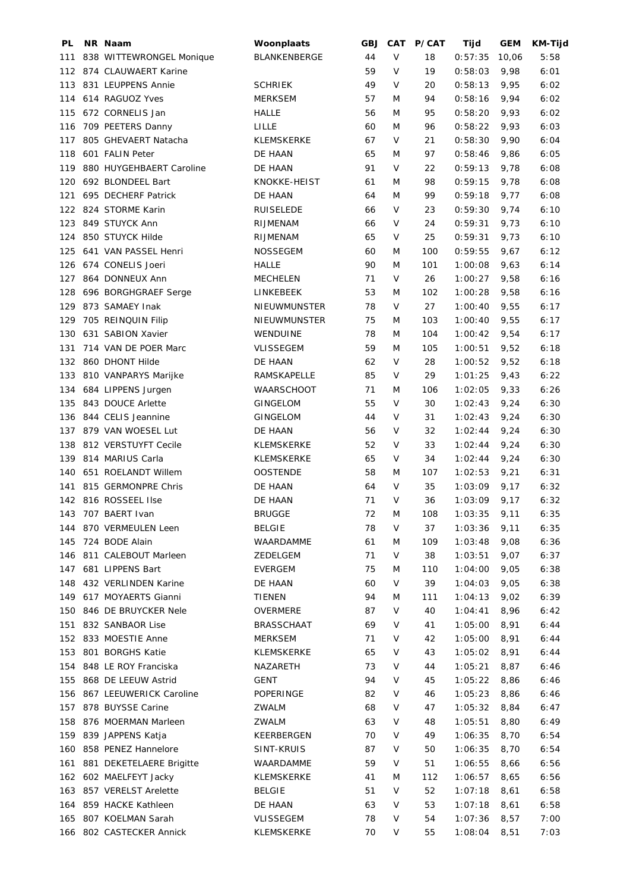| PL  | NR Naam                  | Woonplaats          | GBJ    | <b>CAT</b>                                                                            | <b>P/CAT</b> | Tijd    | <b>GEM</b> | <b>KM-Tijd</b> |
|-----|--------------------------|---------------------|--------|---------------------------------------------------------------------------------------|--------------|---------|------------|----------------|
| 111 | 838 WITTEWRONGEL Monique | BLANKENBERGE        | 44     | $\vee$                                                                                | 18           | 0:57:35 | 10,06      | 5:58           |
|     | 112 874 CLAUWAERT Karine |                     | 59     | V                                                                                     | 19           | 0:58:03 | 9,98       | 6:01           |
| 113 | 831 LEUPPENS Annie       | <b>SCHRIEK</b>      | 49     | V                                                                                     | 20           | 0:58:13 | 9,95       | 6:02           |
| 114 | 614 RAGUOZ Yves          | <b>MERKSEM</b>      | 57     | M                                                                                     | 94           | 0:58:16 | 9,94       | 6:02           |
| 115 | 672 CORNELIS Jan         | <b>HALLE</b>        | 56     | M                                                                                     | 95           | 0:58:20 | 9,93       | 6:02           |
| 116 | 709 PEETERS Danny        | LILLE               | 60     | M                                                                                     | 96           | 0:58:22 | 9,93       | 6:03           |
| 117 | 805 GHEVAERT Natacha     | <b>KLEMSKERKE</b>   | 67     | V                                                                                     | 21           | 0:58:30 | 9,90       | 6:04           |
| 118 | 601 FALIN Peter          | DE HAAN             | 65     | M                                                                                     | 97           | 0:58:46 | 9,86       | 6:05           |
| 119 | 880 HUYGEHBAERT Caroline | DE HAAN             | 91     | V                                                                                     | 22           | 0:59:13 | 9,78       | 6:08           |
| 120 | 692 BLONDEEL Bart        | KNOKKE-HEIST        | 61     | M                                                                                     | 98           | 0:59:15 | 9,78       | 6:08           |
| 121 | 695 DECHERF Patrick      | DE HAAN             | 64     | M                                                                                     | 99           | 0:59:18 | 9,77       | 6:08           |
| 122 | 824 STORME Karin         | <b>RUISELEDE</b>    | 66     | $\vee$                                                                                | 23           | 0:59:30 | 9,74       | 6:10           |
| 123 | 849 STUYCK Ann           | RIJMENAM            | 66     | V                                                                                     | 24           | 0:59:31 | 9,73       | 6:10           |
| 124 | 850 STUYCK Hilde         | RIJMENAM            | 65     | V                                                                                     | 25           | 0:59:31 | 9,73       | 6:10           |
| 125 | 641 VAN PASSEL Henri     | <b>NOSSEGEM</b>     | 60     | M                                                                                     | 100          | 0:59:55 | 9,67       | 6:12           |
| 126 | 674 CONELIS Joeri        | <b>HALLE</b>        | 90     | M                                                                                     | 101          | 1:00:08 | 9,63       | 6:14           |
| 127 | 864 DONNEUX Ann          | <b>MECHELEN</b>     | 71     | $\vee$                                                                                | 26           | 1:00:27 | 9,58       | 6:16           |
| 128 | 696 BORGHGRAEF Serge     | LINKEBEEK           | 53     | M                                                                                     | 102          | 1:00:28 | 9,58       | 6:16           |
| 129 | 873 SAMAEY Inak          | NIEUWMUNSTER        | 78     | V                                                                                     | 27           | 1:00:40 | 9,55       | 6:17           |
| 129 | 705 REINQUIN Filip       | <b>NIEUWMUNSTER</b> | 75     | M                                                                                     | 103          | 1:00:40 | 9,55       | 6:17           |
| 130 | 631 SABION Xavier        | WENDUINE            | 78     | M                                                                                     | 104          | 1:00:42 | 9,54       | 6:17           |
| 131 | 714 VAN DE POER Marc     | <b>VLISSEGEM</b>    | 59     | M                                                                                     | 105          | 1:00:51 | 9,52       | 6:18           |
| 132 | 860 DHONT Hilde          | DE HAAN             | 62     | $\vee$                                                                                | 28           | 1:00:52 | 9,52       | 6:18           |
| 133 | 810 VANPARYS Marijke     | RAMSKAPELLE         | 85     | V                                                                                     | 29           | 1:01:25 | 9,43       | 6:22           |
| 134 | 684 LIPPENS Jurgen       | <b>WAARSCHOOT</b>   | 71     | M                                                                                     | 106          | 1:02:05 | 9,33       | 6:26           |
| 135 | 843 DOUCE Arlette        | <b>GINGELOM</b>     | 55     | $\vee$                                                                                | 30           | 1:02:43 | 9,24       | 6:30           |
| 136 | 844 CELIS Jeannine       | <b>GINGELOM</b>     | 44     | V                                                                                     | 31           | 1:02:43 | 9,24       | 6:30           |
| 137 | 879 VAN WOESEL Lut       | DE HAAN             | 56     | V                                                                                     | 32           | 1:02:44 | 9,24       | 6:30           |
| 138 | 812 VERSTUYFT Cecile     | <b>KLEMSKERKE</b>   | 52     | $\vee$                                                                                | 33           | 1:02:44 | 9,24       | 6:30           |
| 139 | 814 MARIUS Carla         | <b>KLEMSKERKE</b>   | 65     | V                                                                                     | 34           | 1:02:44 | 9,24       | 6:30           |
| 140 | 651 ROELANDT Willem      | <b>OOSTENDE</b>     | 58     | M                                                                                     | 107          | 1:02:53 | 9,21       | 6:31           |
| 141 | 815 GERMONPRE Chris      | DE HAAN             | 64     | V                                                                                     | 35           | 1:03:09 | 9,17       | 6:32           |
|     | 142 816 ROSSEEL IIse     | DE HAAN             | 71     | $\vee$                                                                                | 36           | 1:03:09 | 9,17       | 6:32           |
| 143 | 707 BAERT Ivan           | <b>BRUGGE</b>       | $72\,$ | $\mathsf{M}% _{T}=\mathsf{M}_{T}\!\left( a,b\right) ,\ \mathsf{M}_{T}=\mathsf{M}_{T}$ | 108          | 1:03:35 | 9,11       | 6:35           |
| 144 | 870 VERMEULEN Leen       | <b>BELGIE</b>       | 78     | V                                                                                     | 37           | 1:03:36 | 9,11       | 6:35           |
| 145 | 724 BODE Alain           | WAARDAMME           | 61     | M                                                                                     | 109          | 1:03:48 | 9,08       | 6:36           |
| 146 | 811 CALEBOUT Marleen     | ZEDELGEM            | 71     | V                                                                                     | 38           | 1:03:51 | 9,07       | 6:37           |
| 147 | 681 LIPPENS Bart         | EVERGEM             | 75     | M                                                                                     | 110          | 1:04:00 | 9,05       | 6:38           |
| 148 | 432 VERLINDEN Karine     | DE HAAN             | 60     | V                                                                                     | 39           | 1:04:03 | 9,05       | 6:38           |
| 149 | 617 MOYAERTS Gianni      | <b>TIENEN</b>       | 94     | M                                                                                     | 111          | 1:04:13 | 9,02       | 6:39           |
| 150 | 846 DE BRUYCKER Nele     | OVERMERE            | 87     | V                                                                                     | 40           | 1:04:41 | 8,96       | 6:42           |
|     | 832 SANBAOR Lise         | <b>BRASSCHAAT</b>   | 69     | V                                                                                     |              | 1:05:00 | 8,91       | 6:44           |
| 151 | 833 MOESTIE Anne         |                     | 71     | V                                                                                     | 41           | 1:05:00 |            |                |
| 152 | 801 BORGHS Katie         | MERKSEM             |        |                                                                                       | 42           |         | 8,91       | 6:44           |
| 153 |                          | KLEMSKERKE          | 65     | V                                                                                     | 43           | 1:05:02 | 8,91       | 6:44           |
| 154 | 848 LE ROY Franciska     | NAZARETH            | 73     | V                                                                                     | 44           | 1:05:21 | 8,87       | 6:46           |
| 155 | 868 DE LEEUW Astrid      | <b>GENT</b>         | 94     | V                                                                                     | 45           | 1:05:22 | 8,86       | 6:46           |
| 156 | 867 LEEUWERICK Caroline  | POPERINGE           | 82     | V                                                                                     | 46           | 1:05:23 | 8,86       | 6:46           |
| 157 | 878 BUYSSE Carine        | ZWALM               | 68     | V                                                                                     | 47           | 1:05:32 | 8,84       | 6:47           |
| 158 | 876 MOERMAN Marleen      | ZWALM               | 63     | V                                                                                     | 48           | 1:05:51 | 8,80       | 6:49           |
| 159 | 839 JAPPENS Katja        | KEERBERGEN          | 70     | V                                                                                     | 49           | 1:06:35 | 8,70       | 6:54           |
| 160 | 858 PENEZ Hannelore      | SINT-KRUIS          | 87     | V                                                                                     | 50           | 1:06:35 | 8,70       | 6:54           |
| 161 | 881 DEKETELAERE Brigitte | WAARDAMME           | 59     | V                                                                                     | 51           | 1:06:55 | 8,66       | 6:56           |
|     | 162 602 MAELFEYT Jacky   | <b>KLEMSKERKE</b>   | 41     | M                                                                                     | 112          | 1:06:57 | 8,65       | 6:56           |
| 163 | 857 VERELST Arelette     | <b>BELGIE</b>       | 51     | V                                                                                     | 52           | 1:07:18 | 8,61       | 6:58           |
| 164 | 859 HACKE Kathleen       | DE HAAN             | 63     | V                                                                                     | 53           | 1:07:18 | 8,61       | 6:58           |
| 165 | 807 KOELMAN Sarah        | <b>VLISSEGEM</b>    | 78     | V                                                                                     | 54           | 1:07:36 | 8,57       | 7:00           |
|     | 166 802 CASTECKER Annick | KLEMSKERKE          | 70     | V                                                                                     | 55           | 1:08:04 | 8,51       | 7:03           |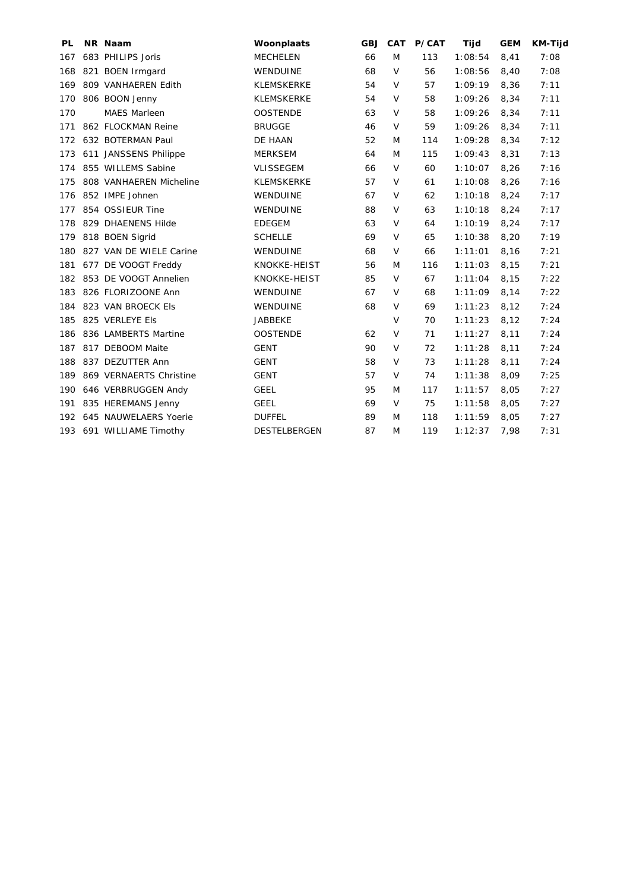| PL  | NR Naam                   | Woonplaats          | <b>GBJ</b> | <b>CAT</b> | P/CAT | Tijd    | <b>GEM</b> | <b>KM-Tijd</b> |
|-----|---------------------------|---------------------|------------|------------|-------|---------|------------|----------------|
| 167 | 683 PHILIPS Joris         | <b>MECHELEN</b>     | 66         | M          | 113   | 1:08:54 | 8,41       | 7:08           |
| 168 | 821 BOEN Irmgard          | WENDUINE            | 68         | $\vee$     | 56    | 1:08:56 | 8,40       | 7:08           |
| 169 | 809 VANHAEREN Edith       | <b>KLEMSKERKE</b>   | 54         | $\vee$     | 57    | 1:09:19 | 8,36       | 7:11           |
| 170 | 806 BOON Jenny            | <b>KLEMSKERKE</b>   | 54         | $\vee$     | 58    | 1:09:26 | 8,34       | 7:11           |
| 170 | <b>MAES Marleen</b>       | <b>OOSTENDE</b>     | 63         | $\vee$     | 58    | 1:09:26 | 8,34       | 7:11           |
| 171 | 862 FLOCKMAN Reine        | <b>BRUGGE</b>       | 46         | $\vee$     | 59    | 1:09:26 | 8,34       | 7:11           |
| 172 | 632 BOTERMAN Paul         | DE HAAN             | 52         | M          | 114   | 1:09:28 | 8,34       | 7:12           |
| 173 | 611 JANSSENS Philippe     | <b>MERKSEM</b>      | 64         | M          | 115   | 1:09:43 | 8,31       | 7:13           |
| 174 | 855 WILLEMS Sabine        | <b>VLISSEGEM</b>    | 66         | $\vee$     | 60    | 1:10:07 | 8,26       | 7:16           |
| 175 | 808 VANHAEREN Micheline   | <b>KLEMSKERKE</b>   | 57         | V          | 61    | 1:10:08 | 8,26       | 7:16           |
| 176 | 852 IMPE Johnen           | WENDUINE            | 67         | $\vee$     | 62    | 1:10:18 | 8,24       | 7:17           |
| 177 | 854 OSSIEUR Tine          | WENDUINE            | 88         | $\vee$     | 63    | 1:10:18 | 8,24       | 7:17           |
| 178 | 829 DHAENENS Hilde        | <b>EDEGEM</b>       | 63         | $\vee$     | 64    | 1:10:19 | 8,24       | 7:17           |
| 179 | 818 BOEN Sigrid           | <b>SCHELLE</b>      | 69         | $\vee$     | 65    | 1:10:38 | 8,20       | 7:19           |
| 180 | 827 VAN DE WIELE Carine   | WENDUINE            | 68         | $\vee$     | 66    | 1:11:01 | 8,16       | 7:21           |
| 181 | 677 DE VOOGT Freddy       | KNOKKE-HEIST        | 56         | M          | 116   | 1:11:03 | 8,15       | 7:21           |
|     | 182 853 DE VOOGT Annelien | KNOKKE-HEIST        | 85         | $\vee$     | 67    | 1:11:04 | 8,15       | 7:22           |
| 183 | 826 FLORIZOONE Ann        | WENDUINE            | 67         | $\vee$     | 68    | 1:11:09 | 8,14       | 7:22           |
| 184 | 823 VAN BROECK Els        | WENDUINE            | 68         | V          | 69    | 1:11:23 | 8,12       | 7:24           |
| 185 | 825 VERLEYE Els           | <b>JABBEKE</b>      |            | $\vee$     | 70    | 1:11:23 | 8,12       | 7:24           |
| 186 | 836 LAMBERTS Martine      | <b>OOSTENDE</b>     | 62         | $\vee$     | 71    | 1:11:27 | 8,11       | 7:24           |
| 187 | 817 DEBOOM Maite          | <b>GENT</b>         | 90         | $\vee$     | 72    | 1:11:28 | 8,11       | 7:24           |
| 188 | 837 DEZUTTER Ann          | <b>GENT</b>         | 58         | $\vee$     | 73    | 1:11:28 | 8,11       | 7:24           |
| 189 | 869 VERNAERTS Christine   | <b>GENT</b>         | 57         | $\vee$     | 74    | 1:11:38 | 8,09       | 7:25           |
| 190 | 646 VERBRUGGEN Andy       | <b>GEEL</b>         | 95         | M          | 117   | 1:11:57 | 8,05       | 7:27           |
| 191 | 835 HEREMANS Jenny        | <b>GEEL</b>         | 69         | $\vee$     | 75    | 1:11:58 | 8,05       | 7:27           |
| 192 | 645 NAUWELAERS Yoerie     | <b>DUFFEL</b>       | 89         | M          | 118   | 1:11:59 | 8,05       | 7:27           |
| 193 | 691 WILLIAME Timothy      | <b>DESTELBERGEN</b> | 87         | M          | 119   | 1:12:37 | 7,98       | 7:31           |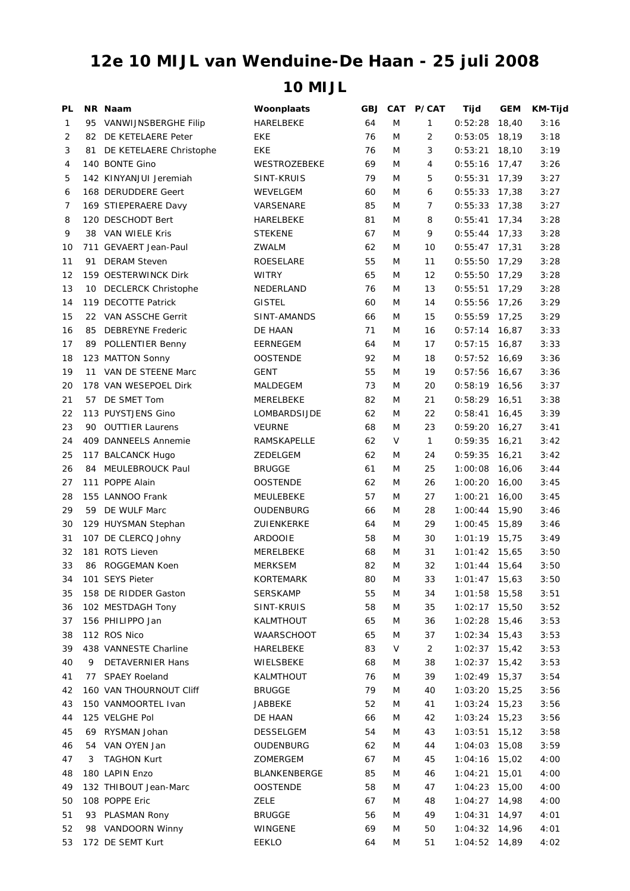## **10 MIJL 12e 10 MIJL van Wenduine-De Haan - 25 juli 2008**

| PL |    | NR Naam                    | Woonplaats       | GBJ | <b>CAT</b> | P/CAT          | Tijd            | GEM   | <b>KM-Tijd</b> |
|----|----|----------------------------|------------------|-----|------------|----------------|-----------------|-------|----------------|
| 1  | 95 | VANWIJNSBERGHE Filip       | HARELBEKE        | 64  | M          | $\mathbf{1}$   | 0:52:28         | 18,40 | 3:16           |
| 2  | 82 | DE KETELAERE Peter         | EKE              | 76  | M          | 2              | 0:53:05         | 18,19 | 3:18           |
| 3  | 81 | DE KETELAERE Christophe    | EKE              | 76  | M          | 3              | 0:53:21         | 18,10 | 3:19           |
| 4  |    | 140 BONTE Gino             | WESTROZEBEKE     | 69  | M          | 4              | 0:55:16         | 17,47 | 3:26           |
| 5  |    | 142 KINYANJUI Jeremiah     | SINT-KRUIS       | 79  | M          | 5              | 0:55:31         | 17,39 | 3:27           |
| 6  |    | 168 DERUDDERE Geert        | WEVELGEM         | 60  | M          | 6              | 0:55:33         | 17,38 | 3:27           |
| 7  |    | 169 STIEPERAERE Davy       | VARSENARE        | 85  | M          | 7              | 0:55:33         | 17,38 | 3:27           |
| 8  |    | 120 DESCHODT Bert          | HARELBEKE        | 81  | M          | 8              | 0:55:41         | 17,34 | 3:28           |
| 9  | 38 | VAN WIELE Kris             | <b>STEKENE</b>   | 67  | M          | 9              | 0:55:44         | 17,33 | 3:28           |
| 10 |    | 711 GEVAERT Jean-Paul      | ZWALM            | 62  | M          | 10             | $0:55:47$ 17,31 |       | 3:28           |
| 11 | 91 | <b>DERAM Steven</b>        | <b>ROESELARE</b> | 55  | M          | 11             | 0:55:50         | 17,29 | 3:28           |
| 12 |    | 159 OESTERWINCK Dirk       | <b>WITRY</b>     | 65  | M          | 12             | 0:55:50         | 17,29 | 3:28           |
| 13 | 10 | <b>DECLERCK Christophe</b> | NEDERLAND        | 76  | M          | 13             | 0:55:51         | 17,29 | 3:28           |
| 14 |    | 119 DECOTTE Patrick        | <b>GISTEL</b>    | 60  | M          | 14             | 0:55:56         | 17,26 | 3:29           |
| 15 |    | 22 VAN ASSCHE Gerrit       | SINT-AMANDS      | 66  | M          | 15             | $0:55:59$ 17,25 |       | 3:29           |
| 16 | 85 | <b>DEBREYNE Frederic</b>   | DE HAAN          | 71  | M          | 16             | 0:57:14         | 16,87 | 3:33           |
| 17 | 89 | POLLENTIER Benny           | EERNEGEM         | 64  | M          | 17             | 0:57:15         | 16,87 | 3:33           |
| 18 |    | 123 MATTON Sonny           | <b>OOSTENDE</b>  | 92  | M          | 18             | 0:57:52         | 16,69 | 3:36           |
| 19 | 11 | VAN DE STEENE Marc         | GENT             | 55  | M          | 19             | 0:57:56         | 16,67 | 3:36           |
| 20 |    | 178 VAN WESEPOEL Dirk      | MALDEGEM         | 73  | M          | 20             | 0:58:19         | 16,56 | 3:37           |
| 21 | 57 | DE SMET Tom                | MERELBEKE        | 82  | M          | 21             | 0:58:29         | 16,51 | 3:38           |
| 22 |    | 113 PUYSTJENS Gino         | LOMBARDSIJDE     | 62  | M          | 22             | 0:58:41         | 16,45 | 3:39           |
| 23 | 90 | <b>OUTTIER Laurens</b>     | <b>VEURNE</b>    | 68  | M          | 23             | 0:59:20         | 16,27 | 3:41           |
| 24 |    | 409 DANNEELS Annemie       | RAMSKAPELLE      | 62  | V          | 1              | 0:59:35         | 16,21 | 3:42           |
| 25 |    | 117 BALCANCK Hugo          | ZEDELGEM         | 62  | M          | 24             | 0:59:35         | 16,21 | 3:42           |
| 26 | 84 | MEULEBROUCK Paul           | <b>BRUGGE</b>    | 61  | M          | 25             | 1:00:08         | 16,06 | 3:44           |
| 27 |    | 111 POPPE Alain            | <b>OOSTENDE</b>  | 62  | M          | 26             | 1:00:20         | 16,00 | 3:45           |
| 28 |    | 155 LANNOO Frank           | MEULEBEKE        | 57  | M          | 27             | 1:00:21         | 16,00 | 3:45           |
| 29 |    | 59 DE WULF Marc            | OUDENBURG        | 66  | M          | 28             | 1:00:44         | 15,90 | 3:46           |
| 30 |    | 129 HUYSMAN Stephan        | ZUIENKERKE       | 64  | M          | 29             | 1:00:45         | 15,89 | 3:46           |
| 31 |    | 107 DE CLERCQ Johny        | <b>ARDOOIE</b>   | 58  | M          | 30             | 1:01:19         | 15,75 | 3:49           |
| 32 |    | 181 ROTS Lieven            | MERELBEKE        | 68  | M          | 31             | 1:01:42         | 15,65 | 3:50           |
| 33 |    | 86 ROGGEMAN Koen           | <b>MERKSEM</b>   | 82  | M          | 32             | $1:01:44$ 15,64 |       | 3:50           |
| 34 |    | 101 SEYS Pieter            | KORTEMARK        | 80  | M          | 33             | $1:01:47$ 15,63 |       | 3:50           |
| 35 |    | 158 DE RIDDER Gaston       | <b>SERSKAMP</b>  | 55  | M          | 34             | $1:01:58$ 15,58 |       | 3:51           |
| 36 |    | 102 MESTDAGH Tony          | SINT-KRUIS       | 58  | M          | 35             | 1:02:17 15,50   |       | 3:52           |
| 37 |    | 156 PHILIPPO Jan           | KALMTHOUT        | 65  | M          | 36             | $1:02:28$ 15,46 |       | 3:53           |
| 38 |    | 112 ROS Nico               | WAARSCHOOT       | 65  | M          | 37             | $1:02:34$ 15,43 |       | 3:53           |
| 39 |    | 438 VANNESTE Charline      | HARELBEKE        | 83  | V          | $\overline{a}$ | $1:02:37$ 15,42 |       | 3:53           |
| 40 | 9  | <b>DETAVERNIER Hans</b>    | WIELSBEKE        | 68  | M          | 38             | $1:02:37$ 15,42 |       | 3:53           |
| 41 | 77 | <b>SPAEY Roeland</b>       | KALMTHOUT        | 76  | M          | 39             | $1:02:49$ 15,37 |       | 3:54           |
| 42 |    | 160 VAN THOURNOUT Cliff    | <b>BRUGGE</b>    | 79  | M          | 40             | 1:03:20 15,25   |       | 3:56           |
| 43 |    | 150 VANMOORTEL Ivan        | JABBEKE          | 52  | M          | 41             | $1:03:24$ 15,23 |       | 3:56           |
| 44 |    | 125 VELGHE Pol             | DE HAAN          | 66  | M          | 42             | $1:03:24$ 15,23 |       | 3:56           |
| 45 |    | 69 RYSMAN Johan            | <b>DESSELGEM</b> | 54  | M          | 43             | $1:03:51$ 15,12 |       | 3:58           |
| 46 |    | 54 VAN OYEN Jan            | OUDENBURG        | 62  | M          | 44             | $1:04:03$ 15,08 |       | 3:59           |
| 47 | 3  | <b>TAGHON Kurt</b>         | ZOMERGEM         | 67  | M          | 45             | 1:04:16 15,02   |       | 4:00           |
| 48 |    | 180 LAPIN Enzo             | BLANKENBERGE     | 85  | M          | 46             | 1:04:21         | 15,01 | 4:00           |
| 49 |    | 132 THIBOUT Jean-Marc      | OOSTENDE         | 58  | M          | 47             | 1:04:23         | 15,00 | 4:00           |
| 50 |    | 108 POPPE Eric             | <b>ZELE</b>      | 67  | M          | 48             | $1:04:27$ 14,98 |       | 4:00           |
| 51 |    | 93 PLASMAN Rony            | <b>BRUGGE</b>    | 56  | M          | 49             | 1:04:31         | 14,97 | 4:01           |
| 52 |    | 98 VANDOORN Winny          | WINGENE          | 69  | M          | 50             | 1:04:32 14,96   |       | 4:01           |
| 53 |    | 172 DE SEMT Kurt           | EEKLO            | 64  | M          | 51             | $1:04:52$ 14,89 |       | 4:02           |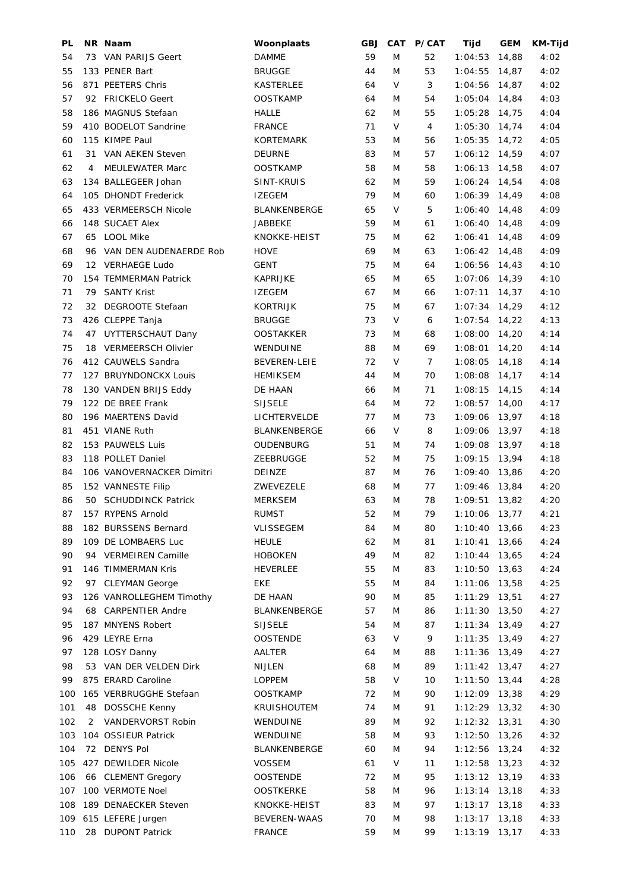| PL  |    | NR Naam                   | Woonplaats          | <b>GBJ</b> | <b>CAT</b> | P/CAT          | Tijd            | <b>GEM</b> | <b>KM-Tijd</b> |
|-----|----|---------------------------|---------------------|------------|------------|----------------|-----------------|------------|----------------|
| 54  |    | 73 VAN PARIJS Geert       | <b>DAMME</b>        | 59         | M          | 52             | 1:04:53         | 14,88      | 4:02           |
| 55  |    | 133 PENER Bart            | <b>BRUGGE</b>       | 44         | M          | 53             | 1:04:55         | 14,87      | 4:02           |
| 56  |    | 871 PEETERS Chris         | KASTERLEE           | 64         | V          | 3              | $1:04:56$ 14,87 |            | 4:02           |
| 57  |    | 92 FRICKELO Geert         | <b>OOSTKAMP</b>     | 64         | M          | 54             | 1:05:04         | 14,84      | 4:03           |
| 58  |    | 186 MAGNUS Stefaan        | <b>HALLE</b>        | 62         | M          | 55             | 1:05:28         | 14,75      | 4:04           |
| 59  |    | 410 BODELOT Sandrine      | <b>FRANCE</b>       | 71         | V          | 4              | 1:05:30         | 14,74      | 4:04           |
| 60  |    | 115 KIMPE Paul            | <b>KORTEMARK</b>    | 53         | M          | 56             | 1:05:35         | 14,72      | 4:05           |
| 61  | 31 | VAN AEKEN Steven          | DEURNE              | 83         | M          | 57             | 1:06:12         | 14,59      | 4:07           |
| 62  | 4  | <b>MEULEWATER Marc</b>    | <b>OOSTKAMP</b>     | 58         | M          | 58             | 1:06:13         | 14,58      | 4:07           |
| 63  |    | 134 BALLEGEER Johan       | SINT-KRUIS          | 62         | M          | 59             | 1:06:24         | 14,54      | 4:08           |
| 64  |    | 105 DHONDT Frederick      | <b>IZEGEM</b>       | 79         | M          | 60             | 1:06:39 14,49   |            | 4:08           |
| 65  |    | 433 VERMEERSCH Nicole     | <b>BLANKENBERGE</b> | 65         | V          | 5              | 1:06:40         | 14,48      | 4:09           |
| 66  |    | 148 SUCAET Alex           | JABBEKE             | 59         | M          | 61             | $1:06:40$ 14,48 |            | 4:09           |
| 67  |    | 65 LOOL Mike              | KNOKKE-HEIST        | 75         | M          | 62             | 1:06:41         | 14,48      | 4:09           |
| 68  |    | 96 VAN DEN AUDENAERDE Rob | <b>HOVE</b>         | 69         | M          | 63             | $1:06:42$ 14,48 |            | 4:09           |
| 69  |    | 12 VERHAEGE Ludo          | GENT                | 75         | M          | 64             | 1:06:56         | 14,43      | 4:10           |
| 70  |    | 154 TEMMERMAN Patrick     | <b>KAPRIJKE</b>     | 65         | M          | 65             | 1:07:06         | 14,39      | 4:10           |
| 71  | 79 | <b>SANTY Krist</b>        | <b>IZEGEM</b>       | 67         | M          | 66             | 1:07:11         | 14,37      | 4:10           |
| 72  |    | 32 DEGROOTE Stefaan       | <b>KORTRIJK</b>     | 75         | M          | 67             | 1:07:34         | 14,29      | 4:12           |
| 73  |    | 426 CLEPPE Tanja          | <b>BRUGGE</b>       | 73         | V          | 6              | 1:07:54         | 14,22      | 4:13           |
| 74  |    | 47 UYTTERSCHAUT Dany      | <b>OOSTAKKER</b>    | 73         | M          | 68             | 1:08:00         | 14,20      | 4:14           |
| 75  |    | 18 VERMEERSCH Olivier     | WENDUINE            | 88         | M          | 69             | 1:08:01         | 14,20      | 4:14           |
| 76  |    | 412 CAUWELS Sandra        | <b>BEVEREN-LEIE</b> | 72         | V          | $\overline{7}$ | 1:08:05         | 14,18      | 4:14           |
| 77  |    | 127 BRUYNDONCKX Louis     | <b>HEMIKSEM</b>     | 44         | M          | 70             | 1:08:08         | 14,17      | 4:14           |
| 78  |    | 130 VANDEN BRIJS Eddy     | DE HAAN             | 66         | M          | 71             | 1:08:15         | 14,15      | 4:14           |
| 79  |    | 122 DE BREE Frank         | <b>SIJSELE</b>      | 64         | M          | 72             | 1:08:57         | 14,00      | 4:17           |
| 80  |    | 196 MAERTENS David        | LICHTERVELDE        | 77         | M          | 73             | 1:09:06         | 13,97      | 4:18           |
| 81  |    | 451 VIANE Ruth            | <b>BLANKENBERGE</b> | 66         | V          | 8              | 1:09:06         | 13,97      | 4:18           |
| 82  |    | 153 PAUWELS Luis          | OUDENBURG           | 51         | M          | 74             | 1:09:08         | 13,97      | 4:18           |
| 83  |    | 118 POLLET Daniel         | ZEEBRUGGE           | 52         | M          | 75             | 1:09:15         | 13,94      | 4:18           |
| 84  |    | 106 VANOVERNACKER Dimitri | DEINZE              | 87         | M          | 76             | 1:09:40         | 13,86      | 4:20           |
| 85  |    | 152 VANNESTE Filip        | ZWEVEZELE           | 68         | M          | 77             | 1:09:46 13,84   |            | 4:20           |
| 86  |    | 50 SCHUDDINCK Patrick     | <b>MERKSEM</b>      | 63         | M          | 78             | $1:09:51$ 13,82 |            | 4:20           |
| 87  |    | 157 RYPENS Arnold         | <b>RUMST</b>        | 52         | ${\sf M}$  | 79             | 1:10:06 13,77   |            | 4:21           |
| 88  |    | 182 BURSSENS Bernard      | VLISSEGEM           | 84         | M          | 80             | 1:10:40         | 13,66      | 4:23           |
| 89  |    | 109 DE LOMBAERS Luc       | <b>HEULE</b>        | 62         | M          | 81             | 1:10:41         | 13,66      | 4:24           |
| 90  | 94 | <b>VERMEIREN Camille</b>  | <b>HOBOKEN</b>      | 49         | M          | 82             | 1:10:44         | 13,65      | 4:24           |
| 91  |    | 146 TIMMERMAN Kris        | <b>HEVERLEE</b>     | 55         | M          | 83             | 1:10:50 13,63   |            | 4:24           |
| 92  |    | 97 CLEYMAN George         | EKE                 | 55         | M          | 84             | 1:11:06         | 13,58      | 4:25           |
| 93  |    | 126 VANROLLEGHEM Timothy  | DE HAAN             | 90         | M          | 85             | $1:11:29$ 13,51 |            | 4:27           |
| 94  |    | 68 CARPENTIER Andre       | <b>BLANKENBERGE</b> | 57         | M          | 86             | $1:11:30$ 13,50 |            | 4:27           |
| 95  |    | 187 MNYENS Robert         | <b>SIJSELE</b>      | 54         | M          | 87             | $1:11:34$ 13,49 |            | 4:27           |
| 96  |    | 429 LEYRE Erna            | OOSTENDE            | 63         | V          | 9              | 1:11:35         | 13,49      | 4:27           |
| 97  |    | 128 LOSY Danny            | AALTER              | 64         | M          | 88             | 1:11:36         | 13,49      | 4:27           |
| 98  |    | 53 VAN DER VELDEN Dirk    | <b>NIJLEN</b>       | 68         | M          | 89             | $1:11:42$ 13,47 |            | 4:27           |
| 99  |    | 875 ERARD Caroline        | LOPPEM              | 58         | V          | 10             | 1:11:50         | 13,44      | 4:28           |
| 100 |    | 165 VERBRUGGHE Stefaan    | <b>OOSTKAMP</b>     | 72         | M          | 90             | $1:12:09$ 13,38 |            | 4:29           |
| 101 | 48 | DOSSCHE Kenny             | <b>KRUISHOUTEM</b>  | 74         | M          | 91             | 1:12:29         | 13,32      | 4:30           |
| 102 | 2  | VANDERVORST Robin         | WENDUINE            | 89         | M          | 92             | $1:12:32$ 13,31 |            | 4:30           |
| 103 |    | 104 OSSIEUR Patrick       | WENDUINE            | 58         | M          | 93             | 1:12:50         | 13,26      | 4:32           |
| 104 |    | 72 DENYS Pol              | BLANKENBERGE        | 60         | M          | 94             | 1:12:56         | 13,24      | 4:32           |
| 105 |    | 427 DEWILDER Nicole       | <b>VOSSEM</b>       | 61         | V          | 11             | $1:12:58$ 13,23 |            | 4:32           |
| 106 |    | 66 CLEMENT Gregory        | <b>OOSTENDE</b>     | 72         | M          | 95             | $1:13:12$ 13,19 |            | 4:33           |
| 107 |    | 100 VERMOTE Noel          | <b>OOSTKERKE</b>    | 58         | M          | 96             | $1:13:14$ 13,18 |            | 4:33           |
| 108 |    | 189 DENAECKER Steven      | KNOKKE-HEIST        | 83         | M          | 97             | $1:13:17$ 13,18 |            | 4:33           |
| 109 |    | 615 LEFERE Jurgen         | <b>BEVEREN-WAAS</b> | 70         | M          | 98             | 1:13:17         | 13,18      | 4:33           |
| 110 | 28 | <b>DUPONT Patrick</b>     | <b>FRANCE</b>       | 59         | M          | 99             | 1:13:19         | 13,17      | 4:33           |
|     |    |                           |                     |            |            |                |                 |            |                |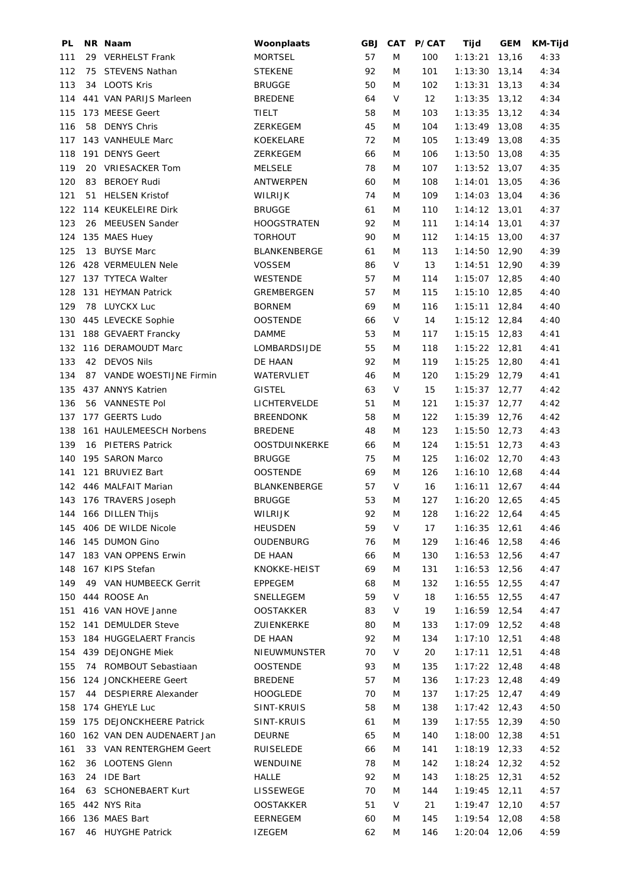| PL  |    | NR Naam                                     | Woonplaats           | <b>GBJ</b> |           | CAT P/CAT       | Tijd                               | <b>GEM</b> | <b>KM-Tijd</b> |
|-----|----|---------------------------------------------|----------------------|------------|-----------|-----------------|------------------------------------|------------|----------------|
| 111 |    | 29 VERHELST Frank                           | <b>MORTSEL</b>       | 57         | M         | 100             | 1:13:21                            | 13,16      | 4:33           |
| 112 |    | 75 STEVENS Nathan                           | <b>STEKENE</b>       | 92         | M         | 101             | 1:13:30                            | 13,14      | 4:34           |
| 113 |    | 34 LOOTS Kris                               | <b>BRUGGE</b>        | 50         | M         | 102             | $1:13:31$ 13,13                    |            | 4:34           |
| 114 |    | 441 VAN PARIJS Marleen                      | <b>BREDENE</b>       | 64         | V         | 12 <sup>2</sup> | $1:13:35$ 13,12                    |            | 4:34           |
| 115 |    | 173 MEESE Geert                             | <b>TIELT</b>         | 58         | M         | 103             | 1:13:35                            | 13,12      | 4:34           |
| 116 |    | 58 DENYS Chris                              | ZERKEGEM             | 45         | M         | 104             | $1:13:49$ 13,08                    |            | 4:35           |
| 117 |    | 143 VANHEULE Marc                           | KOEKELARE            | 72         | M         | 105             | $1:13:49$ 13,08                    |            | 4:35           |
| 118 |    | 191 DENYS Geert                             | ZERKEGEM             | 66         | M         | 106             | $1:13:50$ 13,08                    |            | 4:35           |
| 119 |    | 20 VRIESACKER Tom                           | <b>MELSELE</b>       | 78         | M         | 107             | $1:13:52$ 13,07                    |            | 4:35           |
| 120 | 83 | <b>BEROEY Rudi</b>                          | ANTWERPEN            | 60         | M         | 108             | 1:14:01                            | 13,05      | 4:36           |
| 121 |    | 51 HELSEN Kristof                           | <b>WILRIJK</b>       | 74         | M         | 109             | 1:14:03                            | 13,04      | 4:36           |
| 122 |    | 114 KEUKELEIRE Dirk                         | <b>BRUGGE</b>        | 61         | M         | 110             | $1:14:12$ 13,01                    |            | 4:37           |
| 123 |    | 26 MEEUSEN Sander                           | <b>HOOGSTRATEN</b>   | 92         | M         | 111             | $1:14:14$ 13,01                    |            | 4:37           |
| 124 |    | 135 MAES Huey                               | <b>TORHOUT</b>       | 90         | M         | 112             | $1:14:15$ 13,00                    |            | 4:37           |
| 125 |    | 13 BUYSE Marc                               | BLANKENBERGE         | 61         | M         | 113             | $1:14:50$ 12,90                    |            | 4:39           |
| 126 |    | 428 VERMEULEN Nele                          | <b>VOSSEM</b>        | 86         | V         | 13              | $1:14:51$ 12,90                    |            | 4:39           |
| 127 |    | 137 TYTECA Walter                           | <b>WESTENDE</b>      | 57         | M         | 114             | $1:15:07$ 12,85                    |            | 4:40           |
| 128 |    | 131 HEYMAN Patrick                          | GREMBERGEN           | 57         | M         | 115             | 1:15:10                            | 12,85      | 4:40           |
| 129 |    | 78 LUYCKX Luc                               | <b>BORNEM</b>        | 69         | M         | 116             | $1:15:11$ 12,84                    |            | 4:40           |
| 130 |    | 445 LEVECKE Sophie                          | <b>OOSTENDE</b>      | 66         | V         | 14              | $1:15:12$ 12,84                    |            | 4:40           |
| 131 |    | 188 GEVAERT Francky                         | <b>DAMME</b>         | 53         | M         | 117             | $1:15:15$ 12,83                    |            | 4:41           |
| 132 |    | 116 DERAMOUDT Marc                          | LOMBARDSIJDE         | 55         | M         | 118             | $1:15:22$ 12,81                    |            | 4:41           |
| 133 |    | 42 DEVOS Nils                               | DE HAAN              | 92         | M         | 119             | 1:15:25                            | 12,80      | 4:41           |
| 134 |    | 87 VANDE WOESTIJNE Firmin                   | WATERVLIET           | 46         | M         | 120             | $1:15:29$ 12,79                    |            | 4:41           |
| 135 |    | 437 ANNYS Katrien                           | <b>GISTEL</b>        | 63         | V         | 15              | $1:15:37$ 12,77                    |            | 4:42           |
| 136 |    | 56 VANNESTE Pol                             | LICHTERVELDE         | 51         | M         | 121             | $1:15:37$ 12,77                    |            | 4:42           |
| 137 |    | 177 GEERTS Ludo                             | <b>BREENDONK</b>     | 58         | M         | 122             | $1:15:39$ 12,76                    |            | 4:42           |
| 138 |    | 161 HAULEMEESCH Norbens                     | <b>BREDENE</b>       | 48         | M         | 123             | $1:15:50$ 12,73                    |            | 4:43           |
| 139 |    | 16 PIETERS Patrick                          | <b>OOSTDUINKERKE</b> | 66         | M         | 124             | 1:15:51                            | 12,73      | 4:43           |
| 140 |    | 195 SARON Marco                             | <b>BRUGGE</b>        | 75         | M         | 125             | $1:16:02$ 12,70                    |            | 4:43           |
| 141 |    | 121 BRUVIEZ Bart                            | <b>OOSTENDE</b>      | 69         | M         | 126             | $1:16:10$ 12,68                    |            | 4:44           |
| 142 |    | 446 MALFAIT Marian                          | <b>BLANKENBERGE</b>  | 57         | V         | 16              | 1:16:11                            | 12,67      | 4:44           |
|     |    | 143 176 TRAVERS Joseph                      | <b>BRUGGE</b>        | 53         | M         | 127             | $1:16:20$ 12,65                    |            |                |
|     |    |                                             | WILRIJK              | 92         | ${\sf M}$ | 128             |                                    |            | 4:45           |
|     |    | 144 166 DILLEN Thijs<br>406 DE WILDE Nicole |                      |            |           |                 | 1:16:22 12,64                      |            | 4:45           |
| 145 |    |                                             | <b>HEUSDEN</b>       | 59         | V         | 17              | $1:16:35$ 12,61<br>$1:16:46$ 12,58 |            | 4:46           |
| 146 |    | 145 DUMON Gino                              | OUDENBURG            | 76         | M         | 129             |                                    |            | 4:46           |
| 147 |    | 183 VAN OPPENS Erwin                        | DE HAAN              | 66         | M         | 130             | $1:16:53$ 12,56                    |            | 4:47           |
| 148 |    | 167 KIPS Stefan                             | KNOKKE-HEIST         | 69         | M         | 131             | $1:16:53$ 12,56                    |            | 4:47           |
| 149 |    | 49 VAN HUMBEECK Gerrit                      | EPPEGEM              | 68         | M         | 132             | $1:16:55$ 12,55                    |            | 4:47           |
| 150 |    | 444 ROOSE An                                | SNELLEGEM            | 59         | V         | 18              | 1:16:55                            | 12,55      | 4:47           |
| 151 |    | 416 VAN HOVE Janne                          | <b>OOSTAKKER</b>     | 83         | V         | 19              | $1:16:59$ 12,54                    |            | 4:47           |
| 152 |    | 141 DEMULDER Steve                          | ZUIENKERKE           | 80         | M         | 133             | $1:17:09$ 12,52                    |            | 4:48           |
| 153 |    | 184 HUGGELAERT Francis                      | DE HAAN              | 92         | M         | 134             | $1:17:10$ 12,51                    |            | 4:48           |
| 154 |    | 439 DEJONGHE Miek                           | NIEUWMUNSTER         | 70         | V         | 20              | $1:17:11$ 12,51                    |            | 4:48           |
| 155 |    | 74 ROMBOUT Sebastiaan                       | <b>OOSTENDE</b>      | 93         | M         | 135             | $1:17:22$ 12,48                    |            | 4:48           |
| 156 |    | 124 JONCKHEERE Geert                        | <b>BREDENE</b>       | 57         | M         | 136             | $1:17:23$ 12,48                    |            | 4:49           |
| 157 |    | 44 DESPIERRE Alexander                      | <b>HOOGLEDE</b>      | 70         | M         | 137             | $1:17:25$ 12,47                    |            | 4:49           |
| 158 |    | 174 GHEYLE Luc                              | SINT-KRUIS           | 58         | M         | 138             | $1:17:42$ 12,43                    |            | 4:50           |
| 159 |    | 175 DEJONCKHEERE Patrick                    | SINT-KRUIS           | 61         | M         | 139             | $1:17:55$ 12,39                    |            | 4:50           |
| 160 |    | 162 VAN DEN AUDENAERT Jan                   | DEURNE               | 65         | M         | 140             | $1:18:00$ 12,38                    |            | 4:51           |
| 161 |    | 33 VAN RENTERGHEM Geert                     | <b>RUISELEDE</b>     | 66         | M         | 141             | $1:18:19$ 12,33                    |            | 4:52           |
| 162 |    | 36 LOOTENS Glenn                            | WENDUINE             | 78         | M         | 142             | $1:18:24$ 12,32                    |            | 4:52           |
| 163 |    | 24 IDE Bart                                 | HALLE                | 92         | M         | 143             | $1:18:25$ 12,31                    |            | 4:52           |
| 164 |    | 63 SCHONEBAERT Kurt                         | LISSEWEGE            | 70         | M         | 144             | $1:19:45$ 12,11                    |            | 4:57           |
| 165 |    | 442 NYS Rita                                | <b>OOSTAKKER</b>     | 51         | V         | 21              | $1:19:47$ 12,10                    |            | 4:57           |
| 166 |    | 136 MAES Bart                               | EERNEGEM             | 60         | M         | 145             | 1:19:54                            | 12,08      | 4:58           |
| 167 |    | 46 HUYGHE Patrick                           | <b>IZEGEM</b>        | 62         | M         | 146             | 1:20:04 12,06                      |            | 4:59           |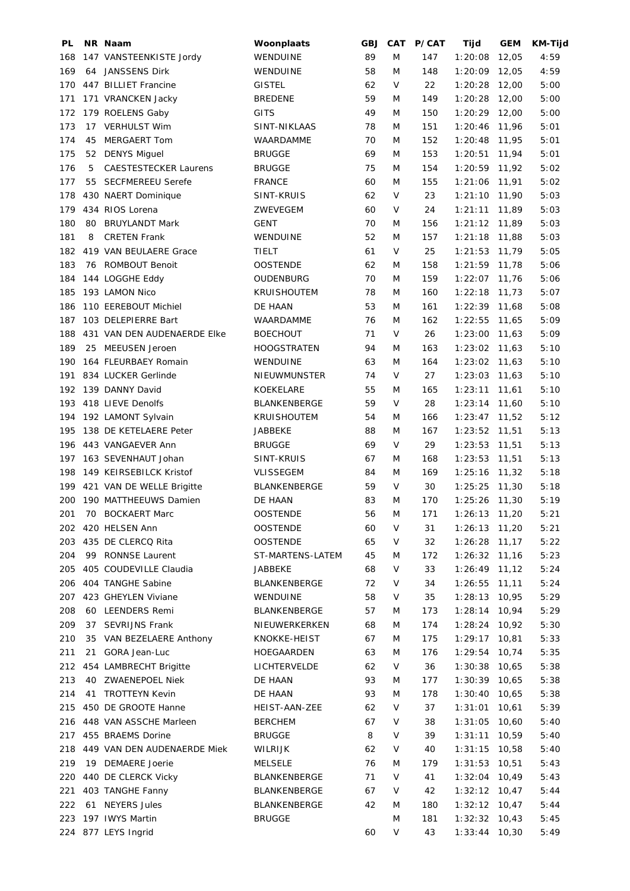| PL  |    | NR Naam                      | Woonplaats          | <b>GBJ</b> | CAT       | <b>P/CAT</b> | Tijd            | <b>GEM</b> | <b>KM-Tijd</b> |
|-----|----|------------------------------|---------------------|------------|-----------|--------------|-----------------|------------|----------------|
| 168 |    | 147 VANSTEENKISTE Jordy      | WENDUINE            | 89         | M         | 147          | 1:20:08         | 12,05      | 4:59           |
| 169 |    | 64 JANSSENS Dirk             | WENDUINE            | 58         | M         | 148          | 1:20:09         | 12,05      | 4:59           |
| 170 |    | 447 BILLIET Francine         | <b>GISTEL</b>       | 62         | V         | 22           | 1:20:28         | 12,00      | 5:00           |
| 171 |    | 171 VRANCKEN Jacky           | <b>BREDENE</b>      | 59         | M         | 149          | 1:20:28         | 12,00      | 5:00           |
| 172 |    | 179 ROELENS Gaby             | <b>GITS</b>         | 49         | M         | 150          | $1:20:29$ 12,00 |            | 5:00           |
| 173 |    | 17 VERHULST Wim              | SINT-NIKLAAS        | 78         | M         | 151          | 1:20:46         | 11,96      | 5:01           |
| 174 | 45 | MERGAERT Tom                 | WAARDAMME           | 70         | M         | 152          | 1:20:48         | 11,95      | 5:01           |
| 175 |    | 52 DENYS Miguel              | <b>BRUGGE</b>       | 69         | M         | 153          | 1:20:51         | 11,94      | 5:01           |
| 176 | 5  | <b>CAESTESTECKER Laurens</b> | <b>BRUGGE</b>       | 75         | M         | 154          | 1:20:59         | 11,92      | 5:02           |
| 177 | 55 | <b>SECFMEREEU Serefe</b>     | <b>FRANCE</b>       | 60         | M         | 155          | 1:21:06         | 11,91      | 5:02           |
| 178 |    | 430 NAERT Dominique          | SINT-KRUIS          | 62         | V         | 23           | 1:21:10         | 11,90      | 5:03           |
| 179 |    | 434 RIOS Lorena              | ZWEVEGEM            | 60         | V         | 24           | 1:21:11         | 11,89      | 5:03           |
| 180 | 80 | <b>BRUYLANDT Mark</b>        | <b>GENT</b>         | 70         | M         | 156          | $1:21:12$ 11,89 |            | 5:03           |
| 181 | 8  | <b>CRETEN Frank</b>          | WENDUINE            | 52         | M         | 157          | 1:21:18         | 11,88      | 5:03           |
| 182 |    | 419 VAN BEULAERE Grace       | TIELT               | 61         | V         | 25           | 1:21:53         | 11,79      | 5:05           |
| 183 |    | 76 ROMBOUT Benoit            | <b>OOSTENDE</b>     | 62         | M         | 158          | $1:21:59$ 11,78 |            | 5:06           |
| 184 |    | 144 LOGGHE Eddy              | OUDENBURG           | 70         | M         | 159          | 1:22:07         | 11,76      | 5:06           |
| 185 |    | 193 LAMON Nico               | <b>KRUISHOUTEM</b>  | 78         | M         | 160          | 1:22:18         | 11,73      | 5:07           |
| 186 |    | 110 EEREBOUT Michiel         | DE HAAN             | 53         | M         | 161          | $1:22:39$ 11,68 |            | 5:08           |
| 187 |    | 103 DELEPIERRE Bart          | WAARDAMME           | 76         | M         | 162          | 1:22:55         | 11,65      | 5:09           |
| 188 |    | 431 VAN DEN AUDENAERDE EIKe  | <b>BOECHOUT</b>     | 71         | V         | 26           | 1:23:00         | 11,63      | 5:09           |
| 189 |    | 25 MEEUSEN Jeroen            | <b>HOOGSTRATEN</b>  | 94         | M         | 163          | 1:23:02         | 11,63      | 5:10           |
| 190 |    | 164 FLEURBAEY Romain         | WENDUINE            | 63         | M         | 164          | $1:23:02$ 11,63 |            | 5:10           |
| 191 |    | 834 LUCKER Gerlinde          | NIEUWMUNSTER        | 74         | V         | 27           | 1:23:03         | 11,63      | 5:10           |
| 192 |    | 139 DANNY David              | KOEKELARE           | 55         | M         | 165          | 1:23:11         | 11,61      | 5:10           |
| 193 |    | 418 LIEVE Denolfs            | BLANKENBERGE        | 59         | V         | 28           | 1:23:14         | 11,60      | 5:10           |
| 194 |    |                              |                     | 54         | M         |              | $1:23:47$ 11,52 |            | 5:12           |
|     |    | 192 LAMONT Sylvain           | <b>KRUISHOUTEM</b>  |            |           | 166          |                 |            |                |
| 195 |    | 138 DE KETELAERE Peter       | JABBEKE             | 88         | M<br>V    | 167          | $1:23:52$ 11,51 |            | 5:13           |
| 196 |    | 443 VANGAEVER Ann            | <b>BRUGGE</b>       | 69         |           | 29           | 1:23:53         | 11,51      | 5:13           |
| 197 |    | 163 SEVENHAUT Johan          | SINT-KRUIS          | 67         | M         | 168          | 1:23:53         | 11,51      | 5:13           |
| 198 |    | 149 KEIRSEBILCK Kristof      | <b>VLISSEGEM</b>    | 84         | M         | 169          | 1:25:16         | 11,32      | 5:18           |
| 199 |    | 421 VAN DE WELLE Brigitte    | BLANKENBERGE        | 59         | V         | 30           | 1:25:25         | 11,30      | 5:18           |
| 200 |    | 190 MATTHEEUWS Damien        | DE HAAN             | 83         | M         | 170          | 1:25:26 11,30   |            | 5:19           |
| 201 |    | 70 BOCKAERT Marc             | <b>OOSTENDE</b>     | 56         | ${\sf M}$ | 171          | 1:26:13 11,20   |            | 5:21           |
| 202 |    | 420 HELSEN Ann               | <b>OOSTENDE</b>     | 60         | V         | 31           | 1:26:13         | 11,20      | 5:21           |
| 203 |    | 435 DE CLERCQ Rita           | <b>OOSTENDE</b>     | 65         | V         | 32           | 1:26:28         | 11,17      | 5:22           |
| 204 | 99 | RONNSE Laurent               | ST-MARTENS-LATEM    | 45         | M         | 172          | 1:26:32         | 11,16      | 5:23           |
| 205 |    | 405 COUDEVILLE Claudia       | JABBEKE             | 68         | V         | 33           | 1:26:49         | 11,12      | 5:24           |
| 206 |    | 404 TANGHE Sabine            | <b>BLANKENBERGE</b> | 72         | V         | 34           | 1:26:55         | 11, 11     | 5:24           |
| 207 |    | 423 GHEYLEN Viviane          | WENDUINE            | 58         | V         | 35           | 1:28:13         | 10,95      | 5:29           |
| 208 |    | 60 LEENDERS Remi             | BLANKENBERGE        | 57         | M         | 173          | 1:28:14         | 10,94      | 5:29           |
| 209 | 37 | <b>SEVRIJNS Frank</b>        | NIEUWERKERKEN       | 68         | M         | 174          | 1:28:24         | 10,92      | 5:30           |
| 210 |    | 35 VAN BEZELAERE Anthony     | KNOKKE-HEIST        | 67         | M         | 175          | 1:29:17         | 10,81      | 5:33           |
| 211 | 21 | GORA Jean-Luc                | HOEGAARDEN          | 63         | M         | 176          | 1:29:54         | 10,74      | 5:35           |
| 212 |    | 454 LAMBRECHT Brigitte       | LICHTERVELDE        | 62         | V         | 36           | 1:30:38         | 10,65      | 5:38           |
| 213 |    | 40 ZWAENEPOEL Niek           | DE HAAN             | 93         | M         | 177          | 1:30:39         | 10,65      | 5:38           |
| 214 | 41 | <b>TROTTEYN Kevin</b>        | DE HAAN             | 93         | M         | 178          | 1:30:40         | 10,65      | 5:38           |
| 215 |    | 450 DE GROOTE Hanne          | HEIST-AAN-ZEE       | 62         | V         | 37           | 1:31:01         | 10,61      | 5:39           |
| 216 |    | 448 VAN ASSCHE Marleen       | <b>BERCHEM</b>      | 67         | V         | 38           | 1:31:05         | 10,60      | 5:40           |
| 217 |    | 455 BRAEMS Dorine            | <b>BRUGGE</b>       | 8          | V         | 39           | 1:31:11         | 10,59      | 5:40           |
| 218 |    | 449 VAN DEN AUDENAERDE Miek  | WILRIJK             | 62         | V         | 40           | 1:31:15         | 10,58      | 5:40           |
| 219 |    | 19 DEMAERE Joerie            | <b>MELSELE</b>      | 76         | M         | 179          | 1:31:53         | 10,51      | 5:43           |
| 220 |    | 440 DE CLERCK Vicky          | BLANKENBERGE        | 71         | V         | 41           | 1:32:04         | 10,49      | 5:43           |
| 221 |    | 403 TANGHE Fanny             | BLANKENBERGE        | 67         | V         | 42           | 1:32:12         | 10,47      | 5:44           |
| 222 | 61 | <b>NEYERS Jules</b>          | <b>BLANKENBERGE</b> | 42         | M         | 180          | $1:32:12$ 10,47 |            | 5:44           |
| 223 |    | 197 IWYS Martin              | <b>BRUGGE</b>       |            | M         | 181          | 1:32:32         | 10,43      | 5:45           |
|     |    | 224 877 LEYS Ingrid          |                     | 60         | V         | 43           | 1:33:44         | 10,30      | 5:49           |
|     |    |                              |                     |            |           |              |                 |            |                |